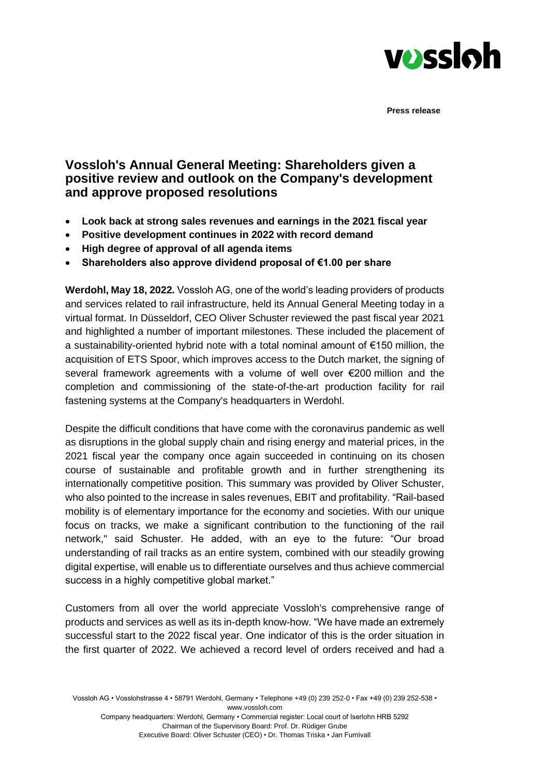

**Press release**

## **Vossloh's Annual General Meeting: Shareholders given a positive review and outlook on the Company's development and approve proposed resolutions**

- **Look back at strong sales revenues and earnings in the 2021 fiscal year**
- **Positive development continues in 2022 with record demand**
- **High degree of approval of all agenda items**
- **Shareholders also approve dividend proposal of €1.00 per share**

**Werdohl, May 18, 2022.** Vossloh AG, one of the world's leading providers of products and services related to rail infrastructure, held its Annual General Meeting today in a virtual format. In Düsseldorf, CEO Oliver Schuster reviewed the past fiscal year 2021 and highlighted a number of important milestones. These included the placement of a sustainability-oriented hybrid note with a total nominal amount of €150 million, the acquisition of ETS Spoor, which improves access to the Dutch market, the signing of several framework agreements with a volume of well over €200 million and the completion and commissioning of the state-of-the-art production facility for rail fastening systems at the Company's headquarters in Werdohl.

Despite the difficult conditions that have come with the coronavirus pandemic as well as disruptions in the global supply chain and rising energy and material prices, in the 2021 fiscal year the company once again succeeded in continuing on its chosen course of sustainable and profitable growth and in further strengthening its internationally competitive position. This summary was provided by Oliver Schuster, who also pointed to the increase in sales revenues, EBIT and profitability. "Rail-based mobility is of elementary importance for the economy and societies. With our unique focus on tracks, we make a significant contribution to the functioning of the rail network," said Schuster. He added, with an eye to the future: "Our broad understanding of rail tracks as an entire system, combined with our steadily growing digital expertise, will enable us to differentiate ourselves and thus achieve commercial success in a highly competitive global market."

Customers from all over the world appreciate Vossloh's comprehensive range of products and services as well as its in-depth know-how. "We have made an extremely successful start to the 2022 fiscal year. One indicator of this is the order situation in the first quarter of 2022. We achieved a record level of orders received and had a

Vossloh AG • Vosslohstrasse 4 • 58791 Werdohl, Germany • Telephone +49 (0) 239 252-0 • Fax +49 (0) 239 252-538 • www.vossloh.com Company headquarters: Werdohl, Germany • Commercial register: Local court of Iserlohn HRB 5292 Chairman of the Supervisory Board: Prof. Dr. Rüdiger Grube

Executive Board: Oliver Schuster (CEO) • Dr. Thomas Triska • Jan Furnivall